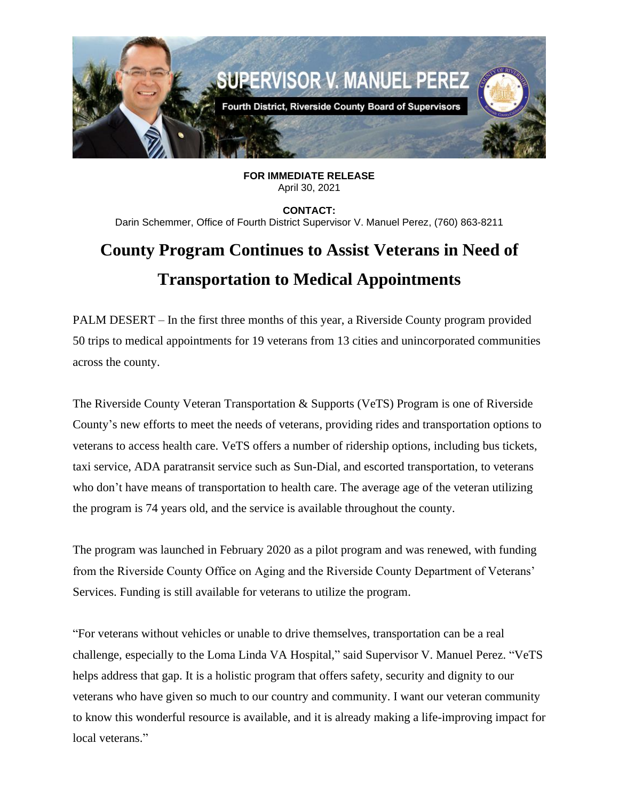

**FOR IMMEDIATE RELEASE** April 30, 2021

**CONTACT:** Darin Schemmer, Office of Fourth District Supervisor V. Manuel Perez, (760) 863-8211

## **County Program Continues to Assist Veterans in Need of Transportation to Medical Appointments**

PALM DESERT – In the first three months of this year, a Riverside County program provided 50 trips to medical appointments for 19 veterans from 13 cities and unincorporated communities across the county.

The Riverside County Veteran Transportation & Supports (VeTS) Program is one of Riverside County's new efforts to meet the needs of veterans, providing rides and transportation options to veterans to access health care. VeTS offers a number of ridership options, including bus tickets, taxi service, ADA paratransit service such as Sun-Dial, and escorted transportation, to veterans who don't have means of transportation to health care. The average age of the veteran utilizing the program is 74 years old, and the service is available throughout the county.

The program was launched in February 2020 as a pilot program and was renewed, with funding from the Riverside County Office on Aging and the Riverside County Department of Veterans' Services. Funding is still available for veterans to utilize the program.

"For veterans without vehicles or unable to drive themselves, transportation can be a real challenge, especially to the Loma Linda VA Hospital," said Supervisor V. Manuel Perez. "VeTS helps address that gap. It is a holistic program that offers safety, security and dignity to our veterans who have given so much to our country and community. I want our veteran community to know this wonderful resource is available, and it is already making a life-improving impact for local veterans."